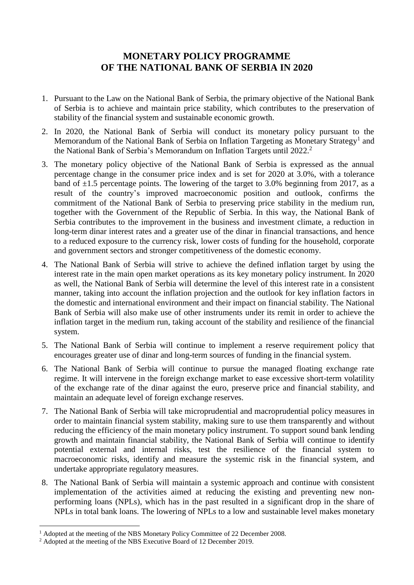## **MONETARY POLICY PROGRAMME OF THE NATIONAL BANK OF SERBIA IN 2020**

- 1. Pursuant to the Law on the National Bank of Serbia, the primary objective of the National Bank of Serbia is to achieve and maintain price stability, which contributes to the preservation of stability of the financial system and sustainable economic growth.
- 2. In 2020, the National Bank of Serbia will conduct its monetary policy pursuant to the Memorandum of the National Bank of Serbia on Inflation Targeting as Monetary Strategy<sup>1</sup> and the National Bank of Serbia's Memorandum on Inflation Targets until 2022. 2
- 3. The monetary policy objective of the National Bank of Serbia is expressed as the annual percentage change in the consumer price index and is set for 2020 at 3.0%, with a tolerance band of  $\pm 1.5$  percentage points. The lowering of the target to 3.0% beginning from 2017, as a result of the country's improved macroeconomic position and outlook, confirms the commitment of the National Bank of Serbia to preserving price stability in the medium run, together with the Government of the Republic of Serbia. In this way, the National Bank of Serbia contributes to the improvement in the business and investment climate, a reduction in long-term dinar interest rates and a greater use of the dinar in financial transactions, and hence to a reduced exposure to the currency risk, lower costs of funding for the household, corporate and government sectors and stronger competitiveness of the domestic economy.
- 4. The National Bank of Serbia will strive to achieve the defined inflation target by using the interest rate in the main open market operations as its key monetary policy instrument. In 2020 as well, the National Bank of Serbia will determine the level of this interest rate in a consistent manner, taking into account the inflation projection and the outlook for key inflation factors in the domestic and international environment and their impact on financial stability. The National Bank of Serbia will also make use of other instruments under its remit in order to achieve the inflation target in the medium run, taking account of the stability and resilience of the financial system.
- 5. The National Bank of Serbia will continue to implement a reserve requirement policy that encourages greater use of dinar and long-term sources of funding in the financial system.
- 6. The National Bank of Serbia will continue to pursue the managed floating exchange rate regime. It will intervene in the foreign exchange market to ease excessive short-term volatility of the exchange rate of the dinar against the euro, preserve price and financial stability, and maintain an adequate level of foreign exchange reserves.
- 7. The National Bank of Serbia will take microprudential and macroprudential policy measures in order to maintain financial system stability, making sure to use them transparently and without reducing the efficiency of the main monetary policy instrument. To support sound bank lending growth and maintain financial stability, the National Bank of Serbia will continue to identify potential external and internal risks, test the resilience of the financial system to macroeconomic risks, identify and measure the systemic risk in the financial system, and undertake appropriate regulatory measures.
- 8. The National Bank of Serbia will maintain a systemic approach and continue with consistent implementation of the activities aimed at reducing the existing and preventing new nonperforming loans (NPLs), which has in the past resulted in a significant drop in the share of NPLs in total bank loans. The lowering of NPLs to a low and sustainable level makes monetary

1

<sup>&</sup>lt;sup>1</sup> Adopted at the meeting of the NBS Monetary Policy Committee of 22 December 2008.

<sup>&</sup>lt;sup>2</sup> Adopted at the meeting of the NBS Executive Board of 12 December 2019.